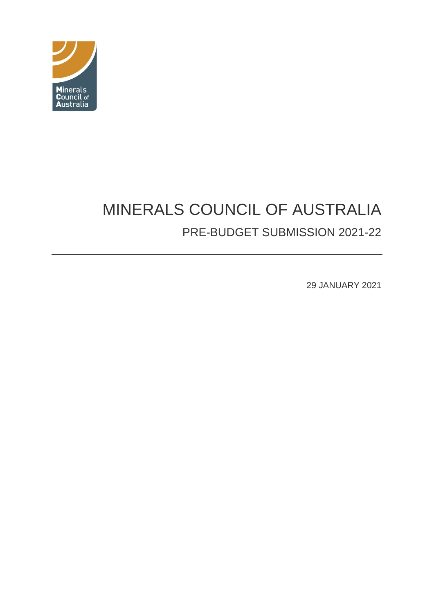

# MINERALS COUNCIL OF AUSTRALIA PRE-BUDGET SUBMISSION 2021-22

29 JANUARY 2021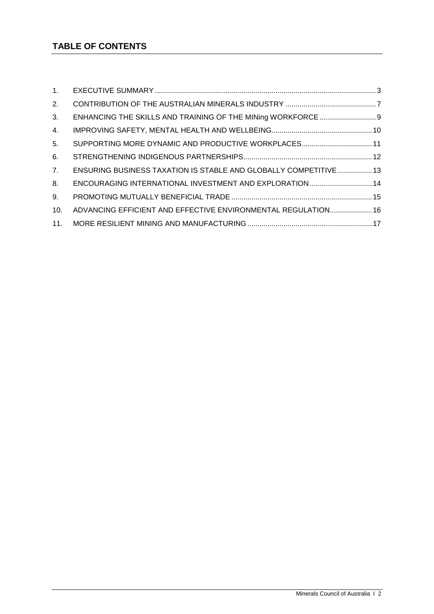# **TABLE OF CONTENTS**

| 1 <sub>1</sub>   |                                                                   |  |
|------------------|-------------------------------------------------------------------|--|
| 2.               |                                                                   |  |
| 3.               |                                                                   |  |
| $\overline{4}$ . |                                                                   |  |
| 5 <sub>1</sub>   | SUPPORTING MORE DYNAMIC AND PRODUCTIVE WORKPLACES 11              |  |
| 6.               |                                                                   |  |
| 7.               | ENSURING BUSINESS TAXATION IS STABLE AND GLOBALLY COMPETITIVE  13 |  |
| 8.               | ENCOURAGING INTERNATIONAL INVESTMENT AND EXPLORATION  14          |  |
| 9.               |                                                                   |  |
| 10.              | ADVANCING EFFICIENT AND EFFECTIVE ENVIRONMENTAL REGULATION 16     |  |
| 11 <sub>1</sub>  |                                                                   |  |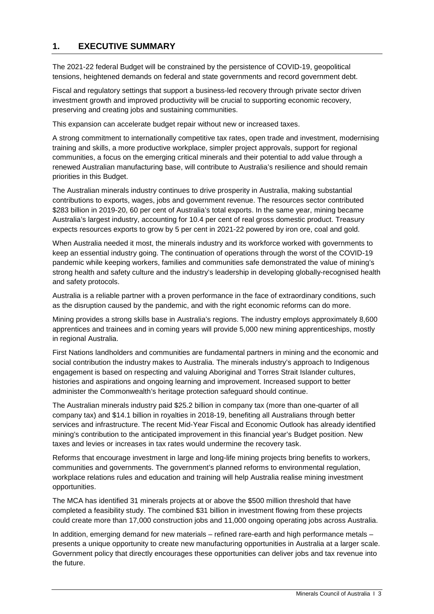## <span id="page-2-0"></span>**1. EXECUTIVE SUMMARY**

The 2021-22 federal Budget will be constrained by the persistence of COVID-19, geopolitical tensions, heightened demands on federal and state governments and record government debt.

Fiscal and regulatory settings that support a business-led recovery through private sector driven investment growth and improved productivity will be crucial to supporting economic recovery, preserving and creating jobs and sustaining communities.

This expansion can accelerate budget repair without new or increased taxes.

A strong commitment to internationally competitive tax rates, open trade and investment, modernising training and skills, a more productive workplace, simpler project approvals, support for regional communities, a focus on the emerging critical minerals and their potential to add value through a renewed Australian manufacturing base, will contribute to Australia's resilience and should remain priorities in this Budget.

The Australian minerals industry continues to drive prosperity in Australia, making substantial contributions to exports, wages, jobs and government revenue. The resources sector contributed \$283 billion in 2019-20, 60 per cent of Australia's total exports. In the same year, mining became Australia's largest industry, accounting for 10.4 per cent of real gross domestic product. Treasury expects resources exports to grow by 5 per cent in 2021-22 powered by iron ore, coal and gold.

When Australia needed it most, the minerals industry and its workforce worked with governments to keep an essential industry going. The continuation of operations through the worst of the COVID-19 pandemic while keeping workers, families and communities safe demonstrated the value of mining's strong health and safety culture and the industry's leadership in developing globally-recognised health and safety protocols.

Australia is a reliable partner with a proven performance in the face of extraordinary conditions, such as the disruption caused by the pandemic, and with the right economic reforms can do more.

Mining provides a strong skills base in Australia's regions. The industry employs approximately 8,600 apprentices and trainees and in coming years will provide 5,000 new mining apprenticeships, mostly in regional Australia.

First Nations landholders and communities are fundamental partners in mining and the economic and social contribution the industry makes to Australia. The minerals industry's approach to Indigenous engagement is based on respecting and valuing Aboriginal and Torres Strait Islander cultures, histories and aspirations and ongoing learning and improvement. Increased support to better administer the Commonwealth's heritage protection safeguard should continue.

The Australian minerals industry paid \$25.2 billion in company tax (more than one-quarter of all company tax) and \$14.1 billion in royalties in 2018-19, benefiting all Australians through better services and infrastructure. The recent Mid-Year Fiscal and Economic Outlook has already identified mining's contribution to the anticipated improvement in this financial year's Budget position. New taxes and levies or increases in tax rates would undermine the recovery task.

Reforms that encourage investment in large and long-life mining projects bring benefits to workers, communities and governments. The government's planned reforms to environmental regulation, workplace relations rules and education and training will help Australia realise mining investment opportunities.

The MCA has identified 31 minerals projects at or above the \$500 million threshold that have completed a feasibility study. The combined \$31 billion in investment flowing from these projects could create more than 17,000 construction jobs and 11,000 ongoing operating jobs across Australia.

In addition, emerging demand for new materials – refined rare-earth and high performance metals – presents a unique opportunity to create new manufacturing opportunities in Australia at a larger scale. Government policy that directly encourages these opportunities can deliver jobs and tax revenue into the future.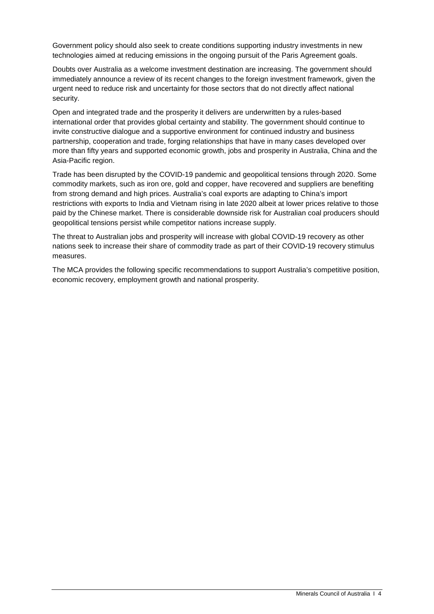Government policy should also seek to create conditions supporting industry investments in new technologies aimed at reducing emissions in the ongoing pursuit of the Paris Agreement goals.

Doubts over Australia as a welcome investment destination are increasing. The government should immediately announce a review of its recent changes to the foreign investment framework, given the urgent need to reduce risk and uncertainty for those sectors that do not directly affect national security.

Open and integrated trade and the prosperity it delivers are underwritten by a rules-based international order that provides global certainty and stability. The government should continue to invite constructive dialogue and a supportive environment for continued industry and business partnership, cooperation and trade, forging relationships that have in many cases developed over more than fifty years and supported economic growth, jobs and prosperity in Australia, China and the Asia-Pacific region.

Trade has been disrupted by the COVID-19 pandemic and geopolitical tensions through 2020. Some commodity markets, such as iron ore, gold and copper, have recovered and suppliers are benefiting from strong demand and high prices. Australia's coal exports are adapting to China's import restrictions with exports to India and Vietnam rising in late 2020 albeit at lower prices relative to those paid by the Chinese market. There is considerable downside risk for Australian coal producers should geopolitical tensions persist while competitor nations increase supply.

The threat to Australian jobs and prosperity will increase with global COVID-19 recovery as other nations seek to increase their share of commodity trade as part of their COVID-19 recovery stimulus measures.

The MCA provides the following specific recommendations to support Australia's competitive position, economic recovery, employment growth and national prosperity.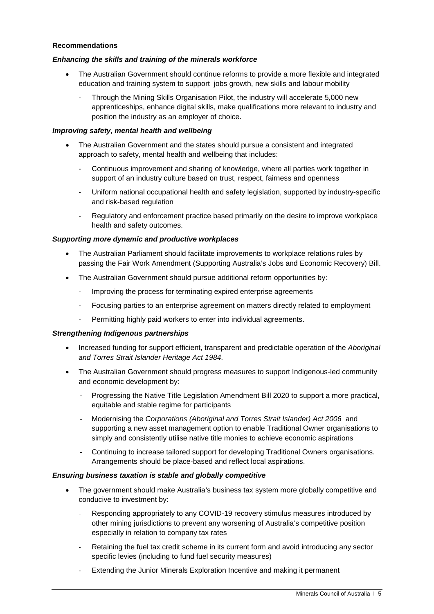#### **Recommendations**

#### *Enhancing the skills and training of the minerals workforce*

- The Australian Government should continue reforms to provide a more flexible and integrated education and training system to support jobs growth, new skills and labour mobility
	- Through the Mining Skills Organisation Pilot, the industry will accelerate 5,000 new apprenticeships, enhance digital skills, make qualifications more relevant to industry and position the industry as an employer of choice.

#### *Improving safety, mental health and wellbeing*

- The Australian Government and the states should pursue a consistent and integrated approach to safety, mental health and wellbeing that includes:
	- Continuous improvement and sharing of knowledge, where all parties work together in support of an industry culture based on trust, respect, fairness and openness
	- Uniform national occupational health and safety legislation, supported by industry-specific and risk-based regulation
	- Regulatory and enforcement practice based primarily on the desire to improve workplace health and safety outcomes.

## *Supporting more dynamic and productive workplaces*

- The Australian Parliament should facilitate improvements to workplace relations rules by passing the Fair Work Amendment (Supporting Australia's Jobs and Economic Recovery) Bill.
- The Australian Government should pursue additional reform opportunities by:
	- Improving the process for terminating expired enterprise agreements
	- Focusing parties to an enterprise agreement on matters directly related to employment
	- Permitting highly paid workers to enter into individual agreements.

#### *Strengthening Indigenous partnerships*

- Increased funding for support efficient, transparent and predictable operation of the *Aboriginal and Torres Strait Islander Heritage Act 1984*.
- The Australian Government should progress measures to support Indigenous-led community and economic development by:
	- Progressing the Native Title Legislation Amendment Bill 2020 to support a more practical, equitable and stable regime for participants
	- Modernising the *Corporations (Aboriginal and Torres Strait Islander) Act 2006* and supporting a new asset management option to enable Traditional Owner organisations to simply and consistently utilise native title monies to achieve economic aspirations
	- Continuing to increase tailored support for developing Traditional Owners organisations. Arrangements should be place-based and reflect local aspirations.

#### *Ensuring business taxation is stable and globally competitive*

- The government should make Australia's business tax system more globally competitive and conducive to investment by:
	- Responding appropriately to any COVID-19 recovery stimulus measures introduced by other mining jurisdictions to prevent any worsening of Australia's competitive position especially in relation to company tax rates
	- Retaining the fuel tax credit scheme in its current form and avoid introducing any sector specific levies (including to fund fuel security measures)
	- Extending the Junior Minerals Exploration Incentive and making it permanent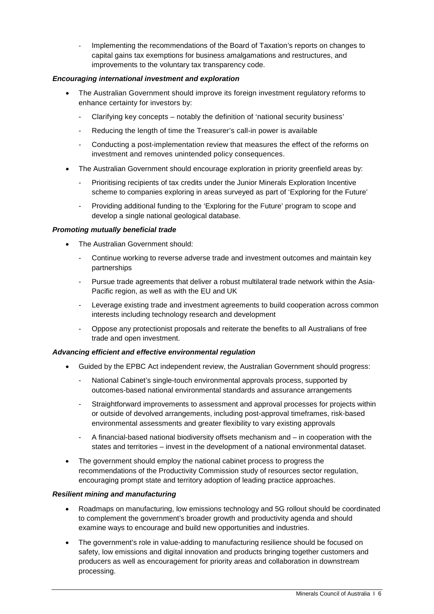- Implementing the recommendations of the Board of Taxation's reports on changes to capital gains tax exemptions for business amalgamations and restructures, and improvements to the voluntary tax transparency code.

## *Encouraging international investment and exploration*

- The Australian Government should improve its foreign investment regulatory reforms to enhance certainty for investors by:
	- Clarifying key concepts notably the definition of 'national security business'
	- Reducing the length of time the Treasurer's call-in power is available
	- Conducting a post-implementation review that measures the effect of the reforms on investment and removes unintended policy consequences.
- The Australian Government should encourage exploration in priority greenfield areas by:
	- Prioritising recipients of tax credits under the Junior Minerals Exploration Incentive scheme to companies exploring in areas surveyed as part of 'Exploring for the Future'
	- Providing additional funding to the 'Exploring for the Future' program to scope and develop a single national geological database.

#### *Promoting mutually beneficial trade*

- The Australian Government should:
	- Continue working to reverse adverse trade and investment outcomes and maintain key partnerships
	- Pursue trade agreements that deliver a robust multilateral trade network within the Asia-Pacific region, as well as with the EU and UK
	- Leverage existing trade and investment agreements to build cooperation across common interests including technology research and development
	- Oppose any protectionist proposals and reiterate the benefits to all Australians of free trade and open investment.

#### *Advancing efficient and effective environmental regulation*

- Guided by the EPBC Act independent review, the Australian Government should progress:
	- National Cabinet's single-touch environmental approvals process, supported by outcomes-based national environmental standards and assurance arrangements
	- Straightforward improvements to assessment and approval processes for projects within or outside of devolved arrangements, including post-approval timeframes, risk-based environmental assessments and greater flexibility to vary existing approvals
	- A financial-based national biodiversity offsets mechanism and in cooperation with the states and territories – invest in the development of a national environmental dataset.
- The government should employ the national cabinet process to progress the recommendations of the Productivity Commission study of resources sector regulation, encouraging prompt state and territory adoption of leading practice approaches.

#### *Resilient mining and manufacturing*

- Roadmaps on manufacturing, low emissions technology and 5G rollout should be coordinated to complement the government's broader growth and productivity agenda and should examine ways to encourage and build new opportunities and industries.
- The government's role in value-adding to manufacturing resilience should be focused on safety, low emissions and digital innovation and products bringing together customers and producers as well as encouragement for priority areas and collaboration in downstream processing.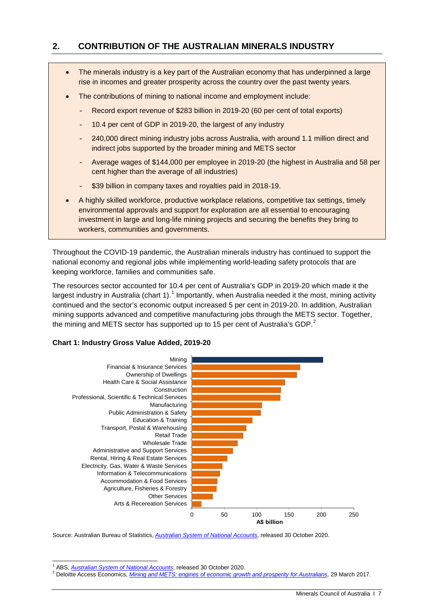## <span id="page-6-0"></span>**2. CONTRIBUTION OF THE AUSTRALIAN MINERALS INDUSTRY**

- The minerals industry is a key part of the Australian economy that has underpinned a large rise in incomes and greater prosperity across the country over the past twenty years.
- The contributions of mining to national income and employment include:
	- Record export revenue of \$283 billion in 2019-20 (60 per cent of total exports)
	- 10.4 per cent of GDP in 2019-20, the largest of any industry
	- 240,000 direct mining industry jobs across Australia, with around 1.1 million direct and indirect jobs supported by the broader mining and METS sector
	- Average wages of \$144,000 per employee in 2019-20 (the highest in Australia and 58 per cent higher than the average of all industries)
	- \$39 billion in company taxes and royalties paid in 2018-19.
- A highly skilled workforce, productive workplace relations, competitive tax settings, timely environmental approvals and support for exploration are all essential to encouraging investment in large and long-life mining projects and securing the benefits they bring to workers, communities and governments.

Throughout the COVID-19 pandemic, the Australian minerals industry has continued to support the national economy and regional jobs while implementing world-leading safety protocols that are keeping workforce, families and communities safe.

The resources sector accounted for 10.4 per cent of Australia's GDP in 2019-20 which made it the largest industry in Australia (chart [1](#page-6-1)).<sup>1</sup> Importantly, when Australia needed it the most, mining activity continued and the sector's economic output increased 5 per cent in 2019-20. In addition, Australian mining supports advanced and competitive manufacturing jobs through the METS sector. Together, the mining and METS sector has supported up to 15 per cent of Australia's GDP.<sup>[2](#page-6-2)</sup>

#### **Chart 1: Industry Gross Value Added, 2019-20**



Source: Australian Bureau of Statistics, *[Australian System of National Accounts](https://www.abs.gov.au/statistics/economy/national-accounts/australian-system-national-accounts/latest-release#data-download)*, released 30 October 2020.

<span id="page-6-2"></span><span id="page-6-1"></span><sup>&</sup>lt;sup>1</sup> ABS, [Australian System of National Accounts](https://www.abs.gov.au/statistics/economy/national-accounts/australian-system-national-accounts/latest-release#data-download), released 30 October 2020.<br><sup>2</sup> Deloitte Access Economics, *Mining and METS: engines of [economic growth](https://minerals.org.au/news/mining-and-mets-engines-economic-growth-and-prosperity-australians) and prosperity for Australians</u>, 29 March 2017.*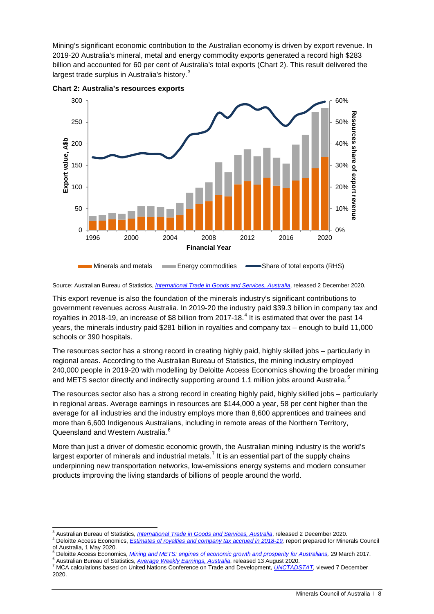Mining's significant economic contribution to the Australian economy is driven by export revenue. In 2019-20 Australia's mineral, metal and energy commodity exports generated a record high \$283 billion and accounted for 60 per cent of Australia's total exports (Chart 2). This result delivered the largest trade surplus in Australia's history.<sup>[3](#page-7-0)</sup>



**Chart 2: Australia's resources exports**

Source: Australian Bureau of Statistics, *[International Trade in Goods and Services, Australia](https://www.abs.gov.au/statistics/economy/international-trade/international-trade-goods-and-services-australia/latest-release)*, released 2 December 2020.

This export revenue is also the foundation of the minerals industry's significant contributions to government revenues across Australia. In 2019-20 the industry paid \$39.3 billion in company tax and royalties in 2018-19, an increase of \$8 billion from 2017-18.<sup>[4](#page-7-1)</sup> It is estimated that over the past 14 years, the minerals industry paid \$281 billion in royalties and company tax – enough to build 11,000 schools or 390 hospitals.

The resources sector has a strong record in creating highly paid, highly skilled jobs – particularly in regional areas. According to the Australian Bureau of Statistics, the mining industry employed 240,000 people in 2019-20 with modelling by Deloitte Access Economics showing the broader mining and METS sector directly and indirectly supporting around 1.1 million jobs around Australia.<sup>[5](#page-7-2)</sup>

The resources sector also has a strong record in creating highly paid, highly skilled jobs – particularly in regional areas. Average earnings in resources are \$144,000 a year, 58 per cent higher than the average for all industries and the industry employs more than 8,600 apprentices and trainees and more than 6,600 Indigenous Australians, including in remote areas of the Northern Territory, Queensland and Western Australia.<sup>[6](#page-7-3)</sup>

More than just a driver of domestic economic growth, the Australian mining industry is the world's largest exporter of minerals and industrial metals.<sup>[7](#page-7-4)</sup> It is an essential part of the supply chains underpinning new transportation networks, low-emissions energy systems and modern consumer products improving the living standards of billions of people around the world.

<sup>&</sup>lt;sup>3</sup> Australian Bureau of Statistics, *[International Trade in Goods and Services, Australia](https://www.abs.gov.au/statistics/economy/international-trade/international-trade-goods-and-services-australia/latest-release)*, released 2 December 2020.<br><sup>4</sup> Deloitte Access Economics, *Estimates of royalties and company tax accrued in 2018-19*, report prep

<span id="page-7-1"></span><span id="page-7-0"></span>of Australia, 1 May 2020.<br>
<sup>5</sup> Deloitte Access Economics, *Mining and METS: engines of [economic growth](https://minerals.org.au/news/mining-and-mets-engines-economic-growth-and-prosperity-australians) and prosperity for Australians,* 29 March 2017.<br>
<sup>6</sup> Australian Bureau of Statistics, *Average Weekly Earnings, Austral* 

<span id="page-7-3"></span><span id="page-7-2"></span>

<span id="page-7-4"></span><sup>2020.</sup>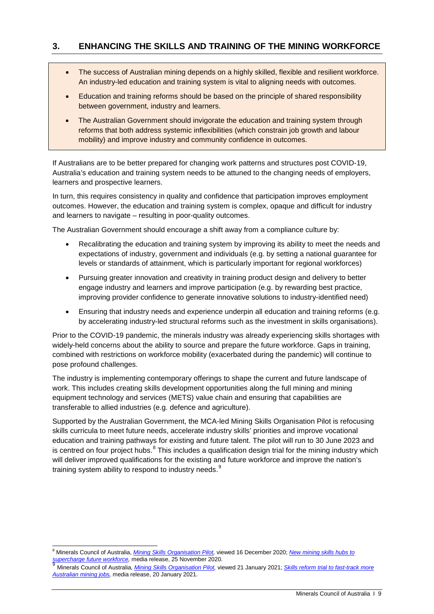## <span id="page-8-0"></span>**3. ENHANCING THE SKILLS AND TRAINING OF THE MINING WORKFORCE**

- The success of Australian mining depends on a highly skilled, flexible and resilient workforce. An industry-led education and training system is vital to aligning needs with outcomes.
- Education and training reforms should be based on the principle of shared responsibility between government, industry and learners.
- The Australian Government should invigorate the education and training system through reforms that both address systemic inflexibilities (which constrain job growth and labour mobility) and improve industry and community confidence in outcomes.

If Australians are to be better prepared for changing work patterns and structures post COVID-19, Australia's education and training system needs to be attuned to the changing needs of employers, learners and prospective learners.

In turn, this requires consistency in quality and confidence that participation improves employment outcomes. However, the education and training system is complex, opaque and difficult for industry and learners to navigate – resulting in poor-quality outcomes.

The Australian Government should encourage a shift away from a compliance culture by:

- Recalibrating the education and training system by improving its ability to meet the needs and expectations of industry, government and individuals (e.g. by setting a national guarantee for levels or standards of attainment, which is particularly important for regional workforces)
- Pursuing greater innovation and creativity in training product design and delivery to better engage industry and learners and improve participation (e.g. by rewarding best practice, improving provider confidence to generate innovative solutions to industry-identified need)
- Ensuring that industry needs and experience underpin all education and training reforms (e.g. by accelerating industry-led structural reforms such as the investment in skills organisations).

Prior to the COVID-19 pandemic, the minerals industry was already experiencing skills shortages with widely-held concerns about the ability to source and prepare the future workforce. Gaps in training, combined with restrictions on workforce mobility (exacerbated during the pandemic) will continue to pose profound challenges.

The industry is implementing contemporary offerings to shape the current and future landscape of work. This includes creating skills development opportunities along the full mining and mining equipment technology and services (METS) value chain and ensuring that capabilities are transferable to allied industries (e.g. defence and agriculture).

Supported by the Australian Government, the MCA-led Mining Skills Organisation Pilot is refocusing skills curricula to meet future needs, accelerate industry skills' priorities and improve vocational education and training pathways for existing and future talent. The pilot will run to 30 June 2023 and is centred on four project hubs.<sup>[8](#page-8-1)</sup> This includes a qualification design trial for the mining industry which will deliver improved qualifications for the existing and future workforce and improve the nation's training system ability to respond to industry needs.<sup>[9](#page-8-2)</sup>

<span id="page-8-1"></span> <sup>8</sup> Minerals Council of Australia, *[Mining Skills Organisation Pilot,](https://minerals.org.au/mining-skills-organisation-pilot)* viewed 16 December 2020; *[New mining skills hubs to](https://minerals.org.au/news/new-mining-skills-hubs-supercharge-future-workforce)  [supercharge future workforce,](https://minerals.org.au/news/new-mining-skills-hubs-supercharge-future-workforce)* media release, 25 November 2020.

<span id="page-8-2"></span><sup>9</sup> Minerals Council of Australia, *[Mining Skills Organisation Pilot,](https://minerals.org.au/mining-skills-organisation-pilot)* viewed 21 January 2021; *[Skills reform trial to fast-track more](https://minerals.org.au/news/skills-reform-trial-fast-track-more-australian-mining-jobs)  [Australian mining jobs,](https://minerals.org.au/news/skills-reform-trial-fast-track-more-australian-mining-jobs)* media release, 20 January 2021.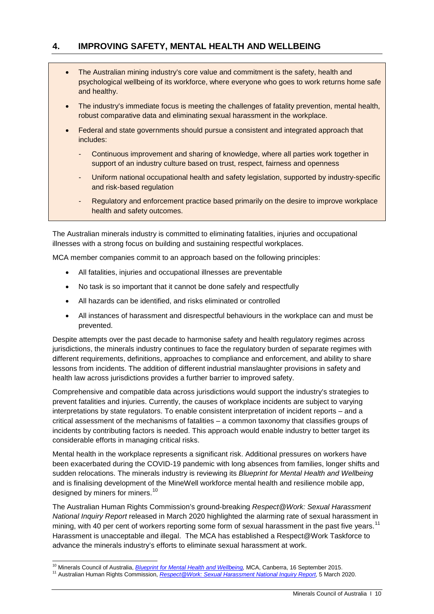## <span id="page-9-0"></span>**4. IMPROVING SAFETY, MENTAL HEALTH AND WELLBEING**

- The Australian mining industry's core value and commitment is the safety, health and psychological wellbeing of its workforce, where everyone who goes to work returns home safe and healthy.
- The industry's immediate focus is meeting the challenges of fatality prevention, mental health, robust comparative data and eliminating sexual harassment in the workplace.
- Federal and state governments should pursue a consistent and integrated approach that includes:
	- Continuous improvement and sharing of knowledge, where all parties work together in support of an industry culture based on trust, respect, fairness and openness
	- Uniform national occupational health and safety legislation, supported by industry-specific and risk-based regulation
	- Regulatory and enforcement practice based primarily on the desire to improve workplace health and safety outcomes.

The Australian minerals industry is committed to eliminating fatalities, injuries and occupational illnesses with a strong focus on building and sustaining respectful workplaces.

MCA member companies commit to an approach based on the following principles:

- All fatalities, injuries and occupational illnesses are preventable
- No task is so important that it cannot be done safely and respectfully
- All hazards can be identified, and risks eliminated or controlled
- All instances of harassment and disrespectful behaviours in the workplace can and must be prevented.

Despite attempts over the past decade to harmonise safety and health regulatory regimes across jurisdictions, the minerals industry continues to face the regulatory burden of separate regimes with different requirements, definitions, approaches to compliance and enforcement, and ability to share lessons from incidents. The addition of different industrial manslaughter provisions in safety and health law across jurisdictions provides a further barrier to improved safety.

Comprehensive and compatible data across jurisdictions would support the industry's strategies to prevent fatalities and injuries. Currently, the causes of workplace incidents are subject to varying interpretations by state regulators. To enable consistent interpretation of incident reports – and a critical assessment of the mechanisms of fatalities – a common taxonomy that classifies groups of incidents by contributing factors is needed. This approach would enable industry to better target its considerable efforts in managing critical risks.

Mental health in the workplace represents a significant risk. Additional pressures on workers have been exacerbated during the COVID-19 pandemic with long absences from families, longer shifts and sudden relocations. The minerals industry is reviewing its *Blueprint for Mental Health and Wellbeing* and is finalising development of the MineWell workforce mental health and resilience mobile app, designed by miners for miners.<sup>[10](#page-9-1)</sup>

The Australian Human Rights Commission's ground-breaking *Respect@Work: Sexual Harassment National Inquiry Report* released in March 2020 highlighted the alarming rate of sexual harassment in mining, with 40 per cent of workers reporting some form of sexual harassment in the past five years.<sup>[11](#page-9-2)</sup> Harassment is unacceptable and illegal. The MCA has established a Respect@Work Taskforce to advance the minerals industry's efforts to eliminate sexual harassment at work.

<span id="page-9-1"></span><sup>&</sup>lt;sup>10</sup> Minerals Council of Australia, *Blueprint for Mental Health and Wellbeing*, MCA, Canberra, 16 September 2015.<br><sup>11</sup> Australian Human Rights Commission, *Respect* @Work: Sexual Harassment National Inquiry Report, 5 Marc

<span id="page-9-2"></span>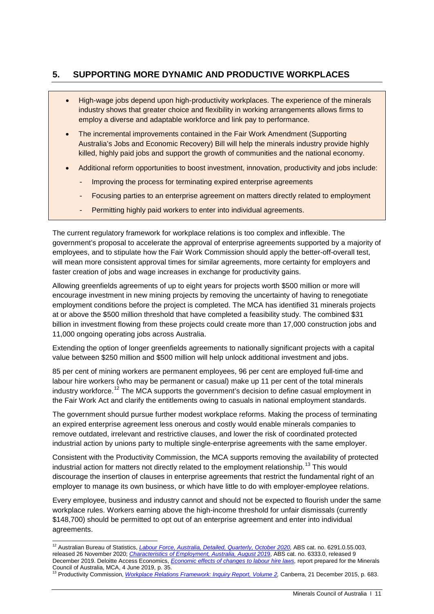## <span id="page-10-0"></span>**5. SUPPORTING MORE DYNAMIC AND PRODUCTIVE WORKPLACES**

- High-wage jobs depend upon high-productivity workplaces. The experience of the minerals industry shows that greater choice and flexibility in working arrangements allows firms to employ a diverse and adaptable workforce and link pay to performance.
- The incremental improvements contained in the Fair Work Amendment (Supporting Australia's Jobs and Economic Recovery) Bill will help the minerals industry provide highly killed, highly paid jobs and support the growth of communities and the national economy.
- Additional reform opportunities to boost investment, innovation, productivity and jobs include:
	- Improving the process for terminating expired enterprise agreements
	- Focusing parties to an enterprise agreement on matters directly related to employment
	- Permitting highly paid workers to enter into individual agreements.

The current regulatory framework for workplace relations is too complex and inflexible. The government's proposal to accelerate the approval of enterprise agreements supported by a majority of employees, and to stipulate how the Fair Work Commission should apply the better-off-overall test, will mean more consistent approval times for similar agreements, more certainty for employers and faster creation of jobs and wage increases in exchange for productivity gains.

Allowing greenfields agreements of up to eight years for projects worth \$500 million or more will encourage investment in new mining projects by removing the uncertainty of having to renegotiate employment conditions before the project is completed. The MCA has identified 31 minerals projects at or above the \$500 million threshold that have completed a feasibility study. The combined \$31 billion in investment flowing from these projects could create more than 17,000 construction jobs and 11,000 ongoing operating jobs across Australia.

Extending the option of longer greenfields agreements to nationally significant projects with a capital value between \$250 million and \$500 million will help unlock additional investment and jobs.

85 per cent of mining workers are permanent employees, 96 per cent are employed full-time and labour hire workers (who may be permanent or casual) make up 11 per cent of the total minerals industry workforce.<sup>[12](#page-10-1)</sup> The MCA supports the government's decision to define casual employment in the Fair Work Act and clarify the entitlements owing to casuals in national employment standards.

The government should pursue further modest workplace reforms. Making the process of terminating an expired enterprise agreement less onerous and costly would enable minerals companies to remove outdated, irrelevant and restrictive clauses, and lower the risk of coordinated protected industrial action by unions party to multiple single-enterprise agreements with the same employer.

Consistent with the Productivity Commission, the MCA supports removing the availability of protected industrial action for matters not directly related to the employment relationship.<sup>[13](#page-10-2)</sup> This would discourage the insertion of clauses in enterprise agreements that restrict the fundamental right of an employer to manage its own business, or which have little to do with employer-employee relations.

Every employee, business and industry cannot and should not be expected to flourish under the same workplace rules. Workers earning above the high-income threshold for unfair dismissals (currently \$148,700) should be permitted to opt out of an enterprise agreement and enter into individual agreements.

<span id="page-10-1"></span><sup>&</sup>lt;sup>12</sup> Australian Bureau of Statistics, *Labour Force, Australia, Detailed, Quarterly, October 2020*, ABS cat. no. 6291.0.55.003, released 26 November 2020; *[Characteristics of Employment, Australia, August 201](https://www.abs.gov.au/AUSSTATS/abs@.nsf/allprimarymainfeatures/A8CAED8E5F9FB2E1CA257F1F00044E8C?opendocument)*9, ABS cat. no. 6333.0, released 9 December 2019. Deloitte Access Economics, *Economic effects of changes to labour hire laws*, report prepared for the Minerals

<span id="page-10-2"></span>Council of Australia, MCA, 4 June 2019, p. 35.<br><sup>13</sup> Productivity Commission, <u>Workplace Relations Framework: Inquiry Report, Volume 2</u>, Canberra, 21 December 2015, p. 683.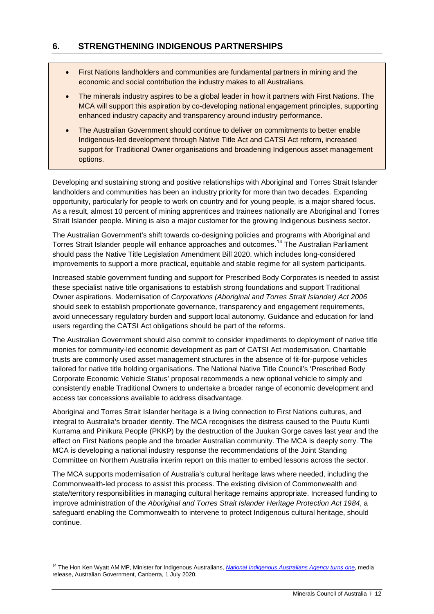## <span id="page-11-0"></span>**6. STRENGTHENING INDIGENOUS PARTNERSHIPS**

- First Nations landholders and communities are fundamental partners in mining and the economic and social contribution the industry makes to all Australians.
- The minerals industry aspires to be a global leader in how it partners with First Nations. The MCA will support this aspiration by co-developing national engagement principles, supporting enhanced industry capacity and transparency around industry performance.
- The Australian Government should continue to deliver on commitments to better enable Indigenous-led development through Native Title Act and CATSI Act reform, increased support for Traditional Owner organisations and broadening Indigenous asset management options.

Developing and sustaining strong and positive relationships with Aboriginal and Torres Strait Islander landholders and communities has been an industry priority for more than two decades. Expanding opportunity, particularly for people to work on country and for young people, is a major shared focus. As a result, almost 10 percent of mining apprentices and trainees nationally are Aboriginal and Torres Strait Islander people. Mining is also a major customer for the growing Indigenous business sector.

The Australian Government's shift towards co-designing policies and programs with Aboriginal and Torres Strait Islander people will enhance approaches and outcomes.<sup>[14](#page-11-1)</sup> The Australian Parliament should pass the Native Title Legislation Amendment Bill 2020, which includes long-considered improvements to support a more practical, equitable and stable regime for all system participants.

Increased stable government funding and support for Prescribed Body Corporates is needed to assist these specialist native title organisations to establish strong foundations and support Traditional Owner aspirations. Modernisation of *Corporations (Aboriginal and Torres Strait Islander) Act 2006* should seek to establish proportionate governance, transparency and engagement requirements, avoid unnecessary regulatory burden and support local autonomy. Guidance and education for land users regarding the CATSI Act obligations should be part of the reforms.

The Australian Government should also commit to consider impediments to deployment of native title monies for community-led economic development as part of CATSI Act modernisation. Charitable trusts are commonly used asset management structures in the absence of fit-for-purpose vehicles tailored for native title holding organisations. The National Native Title Council's 'Prescribed Body Corporate Economic Vehicle Status' proposal recommends a new optional vehicle to simply and consistently enable Traditional Owners to undertake a broader range of economic development and access tax concessions available to address disadvantage.

Aboriginal and Torres Strait Islander heritage is a living connection to First Nations cultures, and integral to Australia's broader identity. The MCA recognises the distress caused to the Puutu Kunti Kurrama and Pinikura People (PKKP) by the destruction of the Juukan Gorge caves last year and the effect on First Nations people and the broader Australian community. The MCA is deeply sorry. The MCA is developing a national industry response the recommendations of the Joint Standing Committee on Northern Australia interim report on this matter to embed lessons across the sector.

The MCA supports modernisation of Australia's cultural heritage laws where needed, including the Commonwealth-led process to assist this process. The existing division of Commonwealth and state/territory responsibilities in managing cultural heritage remains appropriate. Increased funding to improve administration of the *Aboriginal and Torres Strait Islander Heritage Protection Act 1984*, a safeguard enabling the Commonwealth to intervene to protect Indigenous cultural heritage, should continue.

<span id="page-11-1"></span><sup>&</sup>lt;sup>14</sup> The Hon Ken Wyatt AM MP, Minister for Indigenous Australians, *[National Indigenous Australians Agency turns one](https://ministers.pmc.gov.au/wyatt/2020/national-indigenous-australians-agency-turns-one)*, media release, Australian Government, Canberra, 1 July 2020.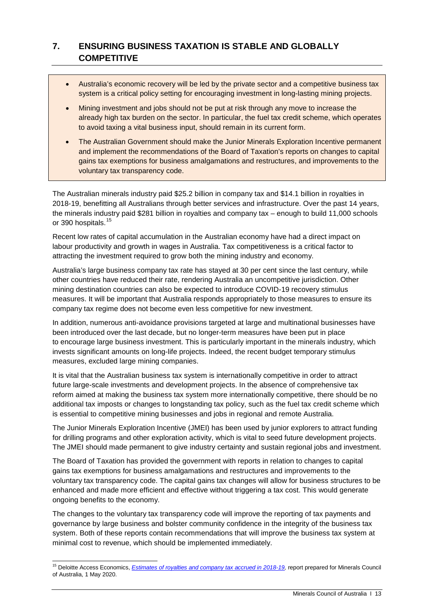# <span id="page-12-0"></span>**7. ENSURING BUSINESS TAXATION IS STABLE AND GLOBALLY COMPETITIVE**

- Australia's economic recovery will be led by the private sector and a competitive business tax system is a critical policy setting for encouraging investment in long-lasting mining projects.
- Mining investment and jobs should not be put at risk through any move to increase the already high tax burden on the sector. In particular, the fuel tax credit scheme, which operates to avoid taxing a vital business input, should remain in its current form.
- The Australian Government should make the Junior Minerals Exploration Incentive permanent and implement the recommendations of the Board of Taxation's reports on changes to capital gains tax exemptions for business amalgamations and restructures, and improvements to the voluntary tax transparency code.

The Australian minerals industry paid \$25.2 billion in company tax and \$14.1 billion in royalties in 2018-19, benefitting all Australians through better services and infrastructure. Over the past 14 years, the minerals industry paid \$281 billion in royalties and company tax – enough to build 11,000 schools or 390 hospitals.<sup>[15](#page-12-1)</sup>

Recent low rates of capital accumulation in the Australian economy have had a direct impact on labour productivity and growth in wages in Australia. Tax competitiveness is a critical factor to attracting the investment required to grow both the mining industry and economy.

Australia's large business company tax rate has stayed at 30 per cent since the last century, while other countries have reduced their rate, rendering Australia an uncompetitive jurisdiction. Other mining destination countries can also be expected to introduce COVID-19 recovery stimulus measures. It will be important that Australia responds appropriately to those measures to ensure its company tax regime does not become even less competitive for new investment.

In addition, numerous anti-avoidance provisions targeted at large and multinational businesses have been introduced over the last decade, but no longer-term measures have been put in place to encourage large business investment. This is particularly important in the minerals industry, which invests significant amounts on long-life projects. Indeed, the recent budget temporary stimulus measures, excluded large mining companies.

It is vital that the Australian business tax system is internationally competitive in order to attract future large-scale investments and development projects. In the absence of comprehensive tax reform aimed at making the business tax system more internationally competitive, there should be no additional tax imposts or changes to longstanding tax policy, such as the fuel tax credit scheme which is essential to competitive mining businesses and jobs in regional and remote Australia.

The Junior Minerals Exploration Incentive (JMEI) has been used by junior explorers to attract funding for drilling programs and other exploration activity, which is vital to seed future development projects. The JMEI should made permanent to give industry certainty and sustain regional jobs and investment.

The Board of Taxation has provided the government with reports in relation to changes to capital gains tax exemptions for business amalgamations and restructures and improvements to the voluntary tax transparency code. The capital gains tax changes will allow for business structures to be enhanced and made more efficient and effective without triggering a tax cost. This would generate ongoing benefits to the economy.

The changes to the voluntary tax transparency code will improve the reporting of tax payments and governance by large business and bolster community confidence in the integrity of the business tax system. Both of these reports contain recommendations that will improve the business tax system at minimal cost to revenue, which should be implemented immediately.

<span id="page-12-1"></span><sup>&</sup>lt;sup>15</sup> Deloitte Access Economics, *Estimates of royalties and company tax accrued in 2018-19*, report prepared for Minerals Council of Australia, 1 May 2020.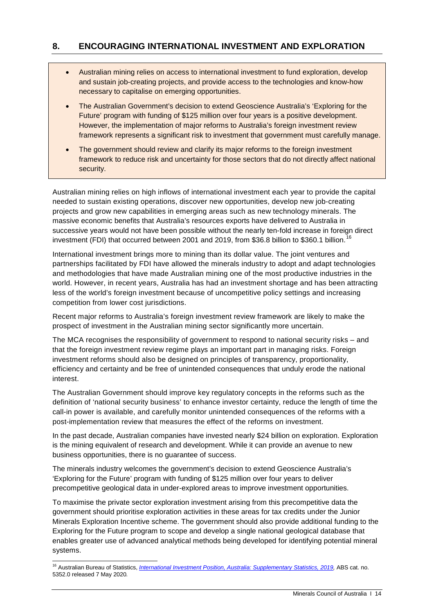## <span id="page-13-0"></span>**8. ENCOURAGING INTERNATIONAL INVESTMENT AND EXPLORATION**

- Australian mining relies on access to international investment to fund exploration, develop and sustain job-creating projects, and provide access to the technologies and know-how necessary to capitalise on emerging opportunities.
- The Australian Government's decision to extend Geoscience Australia's 'Exploring for the Future' program with funding of \$125 million over four years is a positive development. However, the implementation of major reforms to Australia's foreign investment review framework represents a significant risk to investment that government must carefully manage.
- The government should review and clarify its major reforms to the foreign investment framework to reduce risk and uncertainty for those sectors that do not directly affect national security.

Australian mining relies on high inflows of international investment each year to provide the capital needed to sustain existing operations, discover new opportunities, develop new job-creating projects and grow new capabilities in emerging areas such as new technology minerals. The massive economic benefits that Australia's resources exports have delivered to Australia in successive years would not have been possible without the nearly ten-fold increase in foreign direct investment (FDI) that occurred between 2001 and 2019, from \$36.8 billion to \$360.1 billion.<sup>[16](#page-13-1)</sup>

International investment brings more to mining than its dollar value. The joint ventures and partnerships facilitated by FDI have allowed the minerals industry to adopt and adapt technologies and methodologies that have made Australian mining one of the most productive industries in the world. However, in recent years, Australia has had an investment shortage and has been attracting less of the world's foreign investment because of uncompetitive policy settings and increasing competition from lower cost jurisdictions.

Recent major reforms to Australia's foreign investment review framework are likely to make the prospect of investment in the Australian mining sector significantly more uncertain.

The MCA recognises the responsibility of government to respond to national security risks – and that the foreign investment review regime plays an important part in managing risks. Foreign investment reforms should also be designed on principles of transparency, proportionality, efficiency and certainty and be free of unintended consequences that unduly erode the national interest.

The Australian Government should improve key regulatory concepts in the reforms such as the definition of 'national security business' to enhance investor certainty, reduce the length of time the call-in power is available, and carefully monitor unintended consequences of the reforms with a post-implementation review that measures the effect of the reforms on investment.

In the past decade, Australian companies have invested nearly \$24 billion on exploration. Exploration is the mining equivalent of research and development. While it can provide an avenue to new business opportunities, there is no guarantee of success.

The minerals industry welcomes the government's decision to extend Geoscience Australia's 'Exploring for the Future' program with funding of \$125 million over four years to deliver precompetitive geological data in under-explored areas to improve investment opportunities.

To maximise the private sector exploration investment arising from this precompetitive data the government should prioritise exploration activities in these areas for tax credits under the Junior Minerals Exploration Incentive scheme. The government should also provide additional funding to the Exploring for the Future program to scope and develop a single national geological database that enables greater use of advanced analytical methods being developed for identifying potential mineral systems.

<span id="page-13-1"></span> <sup>16</sup> Australian Bureau of Statistics, *[International Investment Position, Australia: Supplementary Statistics, 2019](https://www.abs.gov.au/AUSSTATS/abs@.nsf/DetailsPage/5352.02018?OpenDocument),* ABS cat. no. 5352.0 released 7 May 2020*.*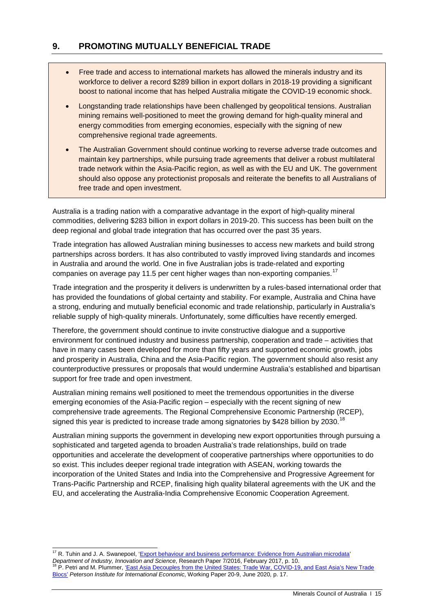## <span id="page-14-0"></span>**9. PROMOTING MUTUALLY BENEFICIAL TRADE**

- Free trade and access to international markets has allowed the minerals industry and its workforce to deliver a record \$289 billion in export dollars in 2018-19 providing a significant boost to national income that has helped Australia mitigate the COVID-19 economic shock.
- Longstanding trade relationships have been challenged by geopolitical tensions. Australian mining remains well-positioned to meet the growing demand for high-quality mineral and energy commodities from emerging economies, especially with the signing of new comprehensive regional trade agreements.
- The Australian Government should continue working to reverse adverse trade outcomes and maintain key partnerships, while pursuing trade agreements that deliver a robust multilateral trade network within the Asia-Pacific region, as well as with the EU and UK. The government should also oppose any protectionist proposals and reiterate the benefits to all Australians of free trade and open investment.

Australia is a trading nation with a comparative advantage in the export of high-quality mineral commodities, delivering \$283 billion in export dollars in 2019-20. This success has been built on the deep regional and global trade integration that has occurred over the past 35 years.

Trade integration has allowed Australian mining businesses to access new markets and build strong partnerships across borders. It has also contributed to vastly improved living standards and incomes in Australia and around the world. One in five Australian jobs is trade-related and exporting companies on average pay 11.5 per cent higher wages than non-exporting companies.<sup>[17](#page-14-1)</sup>

Trade integration and the prosperity it delivers is underwritten by a rules-based international order that has provided the foundations of global certainty and stability. For example, Australia and China have a strong, enduring and mutually beneficial economic and trade relationship, particularly in Australia's reliable supply of high-quality minerals. Unfortunately, some difficulties have recently emerged.

Therefore, the government should continue to invite constructive dialogue and a supportive environment for continued industry and business partnership, cooperation and trade – activities that have in many cases been developed for more than fifty years and supported economic growth, jobs and prosperity in Australia, China and the Asia-Pacific region. The government should also resist any counterproductive pressures or proposals that would undermine Australia's established and bipartisan support for free trade and open investment.

Australian mining remains well positioned to meet the tremendous opportunities in the diverse emerging economies of the Asia-Pacific region – especially with the recent signing of new comprehensive trade agreements. The Regional Comprehensive Economic Partnership (RCEP), signed this year is predicted to increase trade among signatories by \$428 billion by 2030.<sup>[18](#page-14-2)</sup>

Australian mining supports the government in developing new export opportunities through pursuing a sophisticated and targeted agenda to broaden Australia's trade relationships, build on trade opportunities and accelerate the development of cooperative partnerships where opportunities to do so exist. This includes deeper regional trade integration with ASEAN, working towards the incorporation of the United States and India into the Comprehensive and Progressive Agreement for Trans-Pacific Partnership and RCEP, finalising high quality bilateral agreements with the UK and the EU, and accelerating the Australia-India Comprehensive Economic Cooperation Agreement.

<span id="page-14-1"></span><sup>&</sup>lt;sup>17</sup> R. Tuhin and J. A. Swanepoel, 'Export behaviour and business performance: Evidence from Australian microdata' *Department of Industry, Innovation and Science*, Research Paper 7/2016, February 2017, p. 10. <sup>18</sup> P. Petri and M. Plummer[, 'East Asia Decouples from the United States: Trade War, COVID-19, and East Asia's New Trade](https://www.piie.com/system/files/documents/wp20-9.pdf) 

<span id="page-14-2"></span>[Blocs'](https://www.piie.com/system/files/documents/wp20-9.pdf) *Peterson Institute for International Economic*, Working Paper 20-9, June 2020, p. 17.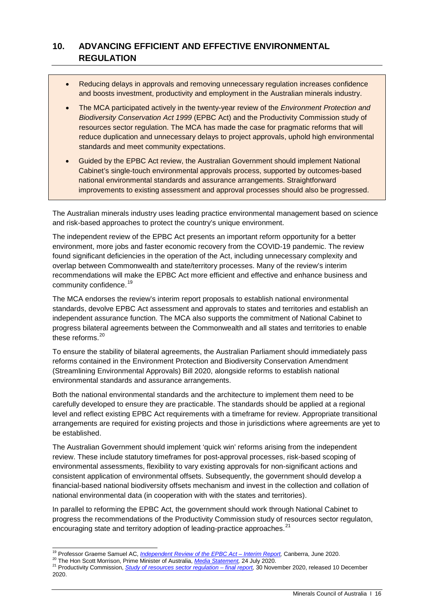# <span id="page-15-0"></span>**10. ADVANCING EFFICIENT AND EFFECTIVE ENVIRONMENTAL REGULATION**

- Reducing delays in approvals and removing unnecessary regulation increases confidence and boosts investment, productivity and employment in the Australian minerals industry.
- The MCA participated actively in the twenty-year review of the *Environment Protection and Biodiversity Conservation Act 1999* (EPBC Act) and the Productivity Commission study of resources sector regulation. The MCA has made the case for pragmatic reforms that will reduce duplication and unnecessary delays to project approvals, uphold high environmental standards and meet community expectations.
- Guided by the EPBC Act review, the Australian Government should implement National Cabinet's single-touch environmental approvals process, supported by outcomes-based national environmental standards and assurance arrangements. Straightforward improvements to existing assessment and approval processes should also be progressed.

The Australian minerals industry uses leading practice environmental management based on science and risk-based approaches to protect the country's unique environment.

The independent review of the EPBC Act presents an important reform opportunity for a better environment, more jobs and faster economic recovery from the COVID-19 pandemic. The review found significant deficiencies in the operation of the Act, including unnecessary complexity and overlap between Commonwealth and state/territory processes. Many of the review's interim recommendations will make the EPBC Act more efficient and effective and enhance business and community confidence.<sup>[19](#page-15-1)</sup>

The MCA endorses the review's interim report proposals to establish national environmental standards, devolve EPBC Act assessment and approvals to states and territories and establish an independent assurance function. The MCA also supports the commitment of National Cabinet to progress bilateral agreements between the Commonwealth and all states and territories to enable these reforms.<sup>[20](#page-15-2)</sup>

To ensure the stability of bilateral agreements, the Australian Parliament should immediately pass reforms contained in the Environment Protection and Biodiversity Conservation Amendment (Streamlining Environmental Approvals) Bill 2020, alongside reforms to establish national environmental standards and assurance arrangements.

Both the national environmental standards and the architecture to implement them need to be carefully developed to ensure they are practicable. The standards should be applied at a regional level and reflect existing EPBC Act requirements with a timeframe for review. Appropriate transitional arrangements are required for existing projects and those in jurisdictions where agreements are yet to be established.

The Australian Government should implement 'quick win' reforms arising from the independent review. These include statutory timeframes for post-approval processes, risk-based scoping of environmental assessments, flexibility to vary existing approvals for non-significant actions and consistent application of environmental offsets. Subsequently, the government should develop a financial-based national biodiversity offsets mechanism and invest in the collection and collation of national environmental data (in cooperation with with the states and territories).

In parallel to reforming the EPBC Act, the government should work through National Cabinet to progress the recommendations of the Productivity Commission study of resources sector regulaton, encouraging state and territory adoption of leading-practice approaches.<sup>21</sup>

<span id="page-15-3"></span><span id="page-15-2"></span>

<span id="page-15-1"></span><sup>&</sup>lt;sup>19</sup> Professor Graeme Samuel AC, <u>[Independent Review of the EPBC Act –](https://epbcactreview.environment.gov.au/resources/interim-report) Interim Report</u>, Canberra, June 2020.<br><sup>20</sup> The Hon Scott Morrison, Prime Minister of Australia, <u>Media Statement</u>, 24 July 2020.<br><sup>21</sup> Productivity Comm 2020.